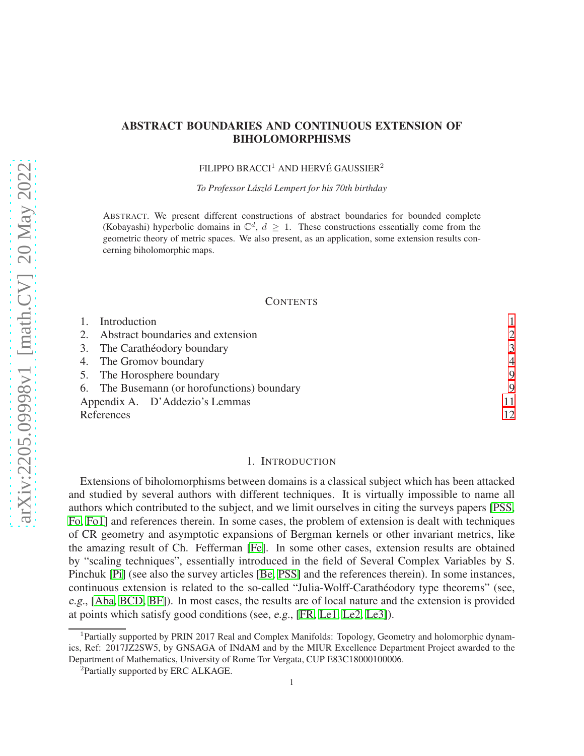# ABSTRACT BOUNDARIES AND CONTINUOUS EXTENSION OF BIHOLOMORPHISMS

FILIPPO BRACCI<sup>1</sup> AND HERVÉ GAUSSIER<sup>2</sup>

*To Professor Laszl ´ o Lempert for his 70th birthday ´*

ABSTRACT. We present different constructions of abstract boundaries for bounded complete (Kobayashi) hyperbolic domains in  $\mathbb{C}^d$ ,  $d \geq 1$ . These constructions essentially come from the geometric theory of metric spaces. We also present, as an application, some extension results concerning biholomorphic maps.

#### **CONTENTS**

|            | Introduction                                |               |
|------------|---------------------------------------------|---------------|
|            | 2. Abstract boundaries and extension        | $\mathcal{D}$ |
|            | 3. The Carathéodory boundary                | 3             |
|            | 4. The Gromov boundary                      |               |
|            | 5. The Horosphere boundary                  | 9             |
|            | 6. The Busemann (or horofunctions) boundary | 9             |
|            | Appendix A. D'Addezio's Lemmas              | 11            |
| References |                                             | 12            |

### 1. INTRODUCTION

<span id="page-0-0"></span>Extensions of biholomorphisms between domains is a classical subject which has been attacked and studied by several authors with different techniques. It is virtually impossible to name all authors which contributed to the subject, and we limit ourselves in citing the surveys papers [\[PSS,](#page-13-0) [Fo,](#page-12-0) [Fo1\]](#page-12-1) and references therein. In some cases, the problem of extension is dealt with techniques of CR geometry and asymptotic expansions of Bergman kernels or other invariant metrics, like the amazing result of Ch. Fefferman [\[Fe\]](#page-12-2). In some other cases, extension results are obtained by "scaling techniques", essentially introduced in the field of Several Complex Variables by S. Pinchuk [\[Pi\]](#page-13-1) (see also the survey articles [\[Be,](#page-11-1) [PSS\]](#page-13-0) and the references therein). In some instances, continuous extension is related to the so-called "Julia-Wolff-Carathéodory type theorems" (see, e.g., [\[Aba,](#page-11-2) [BCD,](#page-12-3) [BF\]](#page-12-4)). In most cases, the results are of local nature and the extension is provided at points which satisfy good conditions (see, e.g., [\[FR,](#page-12-5) [Le1,](#page-12-6) [Le2,](#page-12-7) [Le3\]](#page-12-8)).

<sup>&</sup>lt;sup>1</sup>Partially supported by PRIN 2017 Real and Complex Manifolds: Topology, Geometry and holomorphic dynamics, Ref: 2017JZ2SW5, by GNSAGA of INdAM and by the MIUR Excellence Department Project awarded to the Department of Mathematics, University of Rome Tor Vergata, CUP E83C18000100006.

<sup>2</sup>Partially supported by ERC ALKAGE.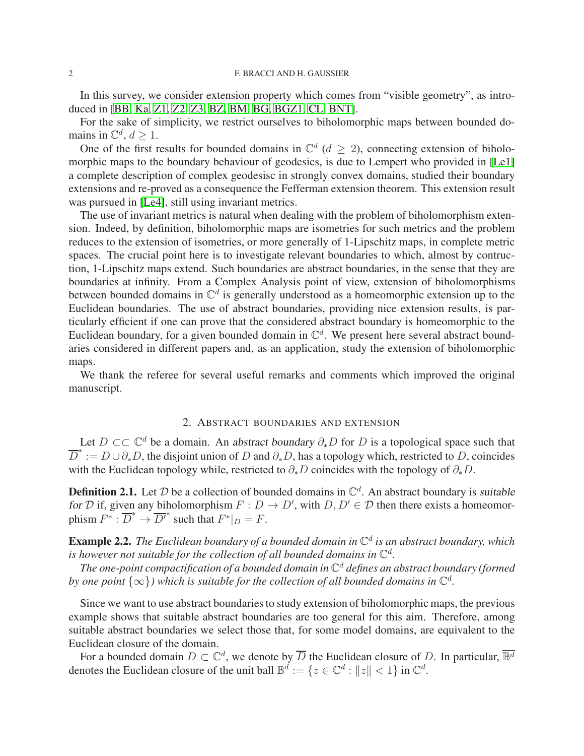In this survey, we consider extension property which comes from "visible geometry", as introduced in [\[BB,](#page-11-3) [Ka,](#page-12-9) [Z1,](#page-13-2) [Z2,](#page-13-3) [Z3,](#page-13-4) [BZ,](#page-12-10) [BM,](#page-12-11) [BG,](#page-12-12) [BGZ1,](#page-12-13) [CL,](#page-12-14) [BNT\]](#page-12-15).

For the sake of simplicity, we restrict ourselves to biholomorphic maps between bounded domains in  $\mathbb{C}^d$ ,  $d \geq 1$ .

One of the first results for bounded domains in  $\mathbb{C}^d$  ( $d \geq 2$ ), connecting extension of biholomorphic maps to the boundary behaviour of geodesics, is due to Lempert who provided in [\[Le1\]](#page-12-6) a complete description of complex geodesisc in strongly convex domains, studied their boundary extensions and re-proved as a consequence the Fefferman extension theorem. This extension result was pursued in [\[Le4\]](#page-12-16), still using invariant metrics.

The use of invariant metrics is natural when dealing with the problem of biholomorphism extension. Indeed, by definition, biholomorphic maps are isometries for such metrics and the problem reduces to the extension of isometries, or more generally of 1-Lipschitz maps, in complete metric spaces. The crucial point here is to investigate relevant boundaries to which, almost by contruction, 1-Lipschitz maps extend. Such boundaries are abstract boundaries, in the sense that they are boundaries at infinity. From a Complex Analysis point of view, extension of biholomorphisms between bounded domains in  $\mathbb{C}^d$  is generally understood as a homeomorphic extension up to the Euclidean boundaries. The use of abstract boundaries, providing nice extension results, is particularly efficient if one can prove that the considered abstract boundary is homeomorphic to the Euclidean boundary, for a given bounded domain in  $\mathbb{C}^d$ . We present here several abstract boundaries considered in different papers and, as an application, study the extension of biholomorphic maps.

We thank the referee for several useful remarks and comments which improved the original manuscript.

# 2. ABSTRACT BOUNDARIES AND EXTENSION

<span id="page-1-0"></span>Let  $D \subset\subset \mathbb{C}^d$  be a domain. An abstract boundary  $\partial_* D$  for D is a topological space such that  $\overline{D}^* := D \cup \partial_* D$ , the disjoint union of D and  $\partial_* D$ , has a topology which, restricted to D, coincides with the Euclidean topology while, restricted to  $\partial_{*}D$  coincides with the topology of  $\partial_{*}D$ .

**Definition 2.1.** Let  $D$  be a collection of bounded domains in  $\mathbb{C}^d$ . An abstract boundary is suitable for D if, given any biholomorphism  $F: D \to D'$ , with  $D, D' \in D$  then there exists a homeomorphism  $F^* : \overline{D}^* \to \overline{D'}^*$  such that  $F^*|_{D} = F$ .

Example 2.2. *The Euclidean boundary of a bounded domain in* C d *is an abstract boundary, which* is however not suitable for the collection of all bounded domains in  $\mathbb{C}^d$ .

*The one-point compactification of a bounded domain in* C <sup>d</sup> *defines an abstract boundary (formed by one point*  $\{\infty\}$ ) which is suitable for the collection of all bounded domains in  $\mathbb{C}^d$ .

Since we want to use abstract boundaries to study extension of biholomorphic maps, the previous example shows that suitable abstract boundaries are too general for this aim. Therefore, among suitable abstract boundaries we select those that, for some model domains, are equivalent to the Euclidean closure of the domain.

For a bounded domain  $D \subset \mathbb{C}^d$ , we denote by  $\overline{D}$  the Euclidean closure of D. In particular,  $\overline{\mathbb{B}^d}$ denotes the Euclidean closure of the unit ball  $\mathbb{B}^d := \{z \in \mathbb{C}^d : ||z|| < 1\}$  in  $\mathbb{C}^d$ .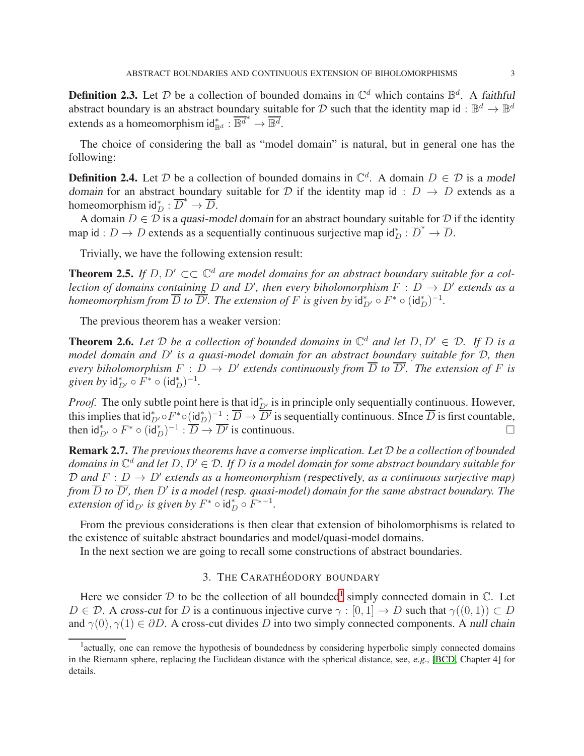**Definition 2.3.** Let  $D$  be a collection of bounded domains in  $\mathbb{C}^d$  which contains  $\mathbb{B}^d$ . A faithful abstract boundary is an abstract boundary suitable for D such that the identity map id:  $\mathbb{B}^d \to \mathbb{B}^d$ extends as a homeomorphism  $\mathrm{id}_{\mathbb{B}^d}^* : \overline{\mathbb{B}^d}^* \to \overline{\mathbb{B}^d}$ .

The choice of considering the ball as "model domain" is natural, but in general one has the following:

**Definition 2.4.** Let D be a collection of bounded domains in  $\mathbb{C}^d$ . A domain  $D \in \mathcal{D}$  is a model domain for an abstract boundary suitable for D if the identity map id :  $D \rightarrow D$  extends as a homeomorphism  $\mathrm{id}_D^* : \overline{D}^* \to \overline{D}$ .

A domain  $D \in \overline{\mathcal{D}}$  is a quasi-model domain for an abstract boundary suitable for  $\mathcal D$  if the identity map id :  $D \to D$  extends as a sequentially continuous surjective map  $\mathrm{id}_D^* : \overline{D}^* \to \overline{D}$ .

Trivially, we have the following extension result:

**Theorem 2.5.** If  $D, D' \subset\subset \mathbb{C}^d$  are model domains for an abstract boundary suitable for a col*lection of domains containing* D and D', then every biholomorphism  $F : D \to D'$  extends as a *homeomorphism from*  $\overline{D}$  *to*  $\overline{D'}$ *. The extension of*  $F$  *is given by*  $\mathsf{id}_{D'}^* \circ F^* \circ (\mathsf{id}_D^*)^{-1}$ *.* 

The previous theorem has a weaker version:

**Theorem 2.6.** Let D be a collection of bounded domains in  $\mathbb{C}^d$  and let  $D, D' \in \mathcal{D}$ . If D is a *model domain and* D′ *is a quasi-model domain for an abstract boundary suitable for* D*, then every biholomorphism*  $F : D \to D'$  extends continuously from  $\overline{D}$  to  $\overline{D'}$ . The extension of F is *given by*  $\mathsf{id}_{D'}^* \circ \tilde{F}^* \circ (\mathsf{id}_D^*)^{-1}$ .

*Proof.* The only subtle point here is that  $\frac{d^*}{dx^*}$  is in principle only sequentially continuous. However, this implies that  $id_{D'}^* \circ F^* \circ (\underline{id}_D^*)^{-1} : \overline{D} \to \overline{D'}$  is sequentially continuous. Since  $\overline{D}$  is first countable, then  $\mathsf{id}_{D'}^* \circ F^* \circ (\mathsf{id}_D^*)^{-1} : \overline{D} \to \overline{D'}$  is continuous.

Remark 2.7. *The previous theorems have a converse implication. Let* D *be a collection of bounded domains in* C <sup>d</sup> *and let* D, D′ ∈ D*. If* D *is a model domain for some abstract boundary suitable for*  $D$  and  $F: D \to D'$  extends as a homeomorphism (respectively, as a continuous surjective map) from  $\overline{D}$  to  $\overline{D'}$ , then  $D'$  is a model (resp. quasi-model) domain for the same abstract boundary. The *extension of*  $\mathsf{id}_{D'}$  *is given by*  $F^* \circ \mathsf{id}_D^* \circ F^{*-1}$ *.* 

From the previous considerations is then clear that extension of biholomorphisms is related to the existence of suitable abstract boundaries and model/quasi-model domains.

<span id="page-2-0"></span>In the next section we are going to recall some constructions of abstract boundaries.

## 3. THE CARATHÉODORY BOUNDARY

Here we consider  $D$  to be the collection of all bounded<sup>[1](#page-2-1)</sup> simply connected domain in  $\mathbb{C}$ . Let  $D \in \mathcal{D}$ . A cross-cut for D is a continuous injective curve  $\gamma : [0, 1] \to D$  such that  $\gamma((0, 1)) \subset D$ and  $\gamma(0), \gamma(1) \in \partial D$ . A cross-cut divides D into two simply connected components. A null chain

<span id="page-2-1"></span><sup>&</sup>lt;sup>1</sup> actually, one can remove the hypothesis of boundedness by considering hyperbolic simply connected domains in the Riemann sphere, replacing the Euclidean distance with the spherical distance, see, e.g., [\[BCD,](#page-12-3) Chapter 4] for details.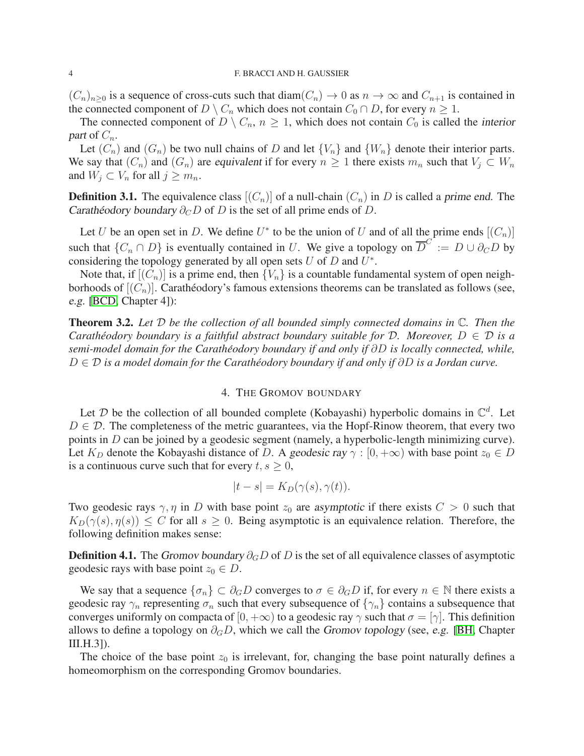$(C_n)_{n>0}$  is a sequence of cross-cuts such that  $\text{diam}(C_n) \to 0$  as  $n \to \infty$  and  $C_{n+1}$  is contained in the connected component of  $D \setminus C_n$  which does not contain  $C_0 \cap D$ , for every  $n \geq 1$ .

The connected component of  $D \setminus C_n$ ,  $n \geq 1$ , which does not contain  $C_0$  is called the interior part of  $C_n$ .

Let  $(C_n)$  and  $(G_n)$  be two null chains of D and let  $\{V_n\}$  and  $\{W_n\}$  denote their interior parts. We say that  $(C_n)$  and  $(G_n)$  are equivalent if for every  $n \geq 1$  there exists  $m_n$  such that  $V_j \subset W_n$ and  $W_j \subset V_n$  for all  $j \geq m_n$ .

**Definition 3.1.** The equivalence class  $[(C_n)]$  of a null-chain  $(C_n)$  in D is called a prime end. The Carathéodory boundary  $\partial_C D$  of D is the set of all prime ends of D.

Let U be an open set in D. We define  $U^*$  to be the union of U and of all the prime ends  $[(C_n)]$ such that  $\{C_n \cap D\}$  is eventually contained in U. We give a topology on  $\overline{D}^C := D \cup \partial_C D$  by considering the topology generated by all open sets  $U$  of  $D$  and  $U^*$ .

Note that, if  $[(C_n)]$  is a prime end, then  $\{V_n\}$  is a countable fundamental system of open neighborhoods of  $[(C_n)]$ . Carathéodory's famous extensions theorems can be translated as follows (see, e.g. [\[BCD,](#page-12-3) Chapter 4]):

Theorem 3.2. *Let* D *be the collection of all bounded simply connected domains in* C*. Then the Carathéodory boundary is a faithful abstract boundary suitable for D. Moreover,*  $D \in \mathcal{D}$  *is a semi-model domain for the Caratheodory boundary if and only if ´* ∂D *is locally connected, while,* D ∈ D *is a model domain for the Caratheodory boundary if and only if ´* ∂D *is a Jordan curve.*

## 4. THE GROMOV BOUNDARY

<span id="page-3-0"></span>Let  $D$  be the collection of all bounded complete (Kobayashi) hyperbolic domains in  $\mathbb{C}^d$ . Let  $D \in \mathcal{D}$ . The completeness of the metric guarantees, via the Hopf-Rinow theorem, that every two points in D can be joined by a geodesic segment (namely, a hyperbolic-length minimizing curve). Let  $K_D$  denote the Kobayashi distance of D. A geodesic ray  $\gamma : [0, +\infty)$  with base point  $z_0 \in D$ is a continuous curve such that for every  $t, s \geq 0$ ,

$$
|t - s| = K_D(\gamma(s), \gamma(t)).
$$

Two geodesic rays  $\gamma$ ,  $\eta$  in D with base point  $z_0$  are asymptotic if there exists  $C > 0$  such that  $K_D(\gamma(s), \eta(s)) \leq C$  for all  $s \geq 0$ . Being asymptotic is an equivalence relation. Therefore, the following definition makes sense:

**Definition 4.1.** The Gromov boundary  $\partial_G D$  of D is the set of all equivalence classes of asymptotic geodesic rays with base point  $z_0 \in D$ .

We say that a sequence  $\{\sigma_n\} \subset \partial_G D$  converges to  $\sigma \in \partial_G D$  if, for every  $n \in \mathbb{N}$  there exists a geodesic ray  $\gamma_n$  representing  $\sigma_n$  such that every subsequence of  $\{\gamma_n\}$  contains a subsequence that converges uniformly on compacta of  $[0, +\infty)$  to a geodesic ray  $\gamma$  such that  $\sigma = [\gamma]$ . This definition allows to define a topology on  $\partial_G D$ , which we call the Gromov topology (see, e.g. [\[BH,](#page-12-17) Chapter III.H.3]).

The choice of the base point  $z_0$  is irrelevant, for, changing the base point naturally defines a homeomorphism on the corresponding Gromov boundaries.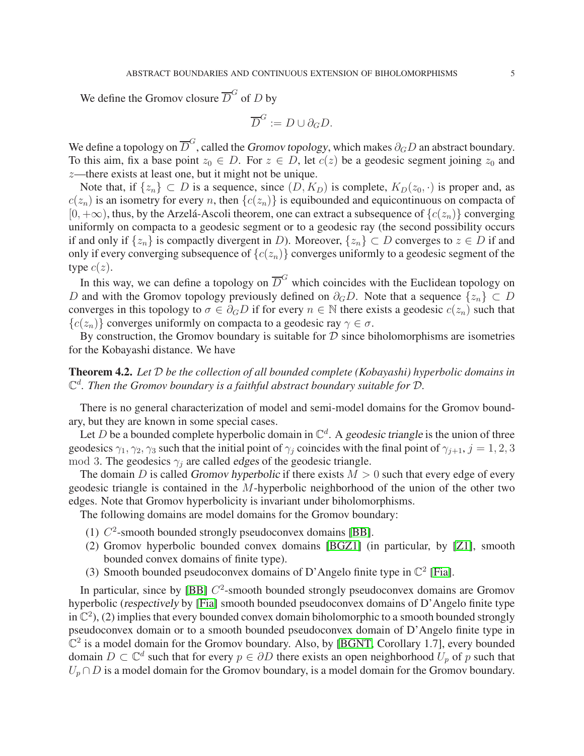We define the Gromov closure  $\overline{D}^G$  of D by

$$
\overline{D}^G := D \cup \partial_G D.
$$

We define a topology on  $\overline{D}^G$ , called the *Gromov topology*, which makes  $\partial_G D$  an abstract boundary. To this aim, fix a base point  $z_0 \in D$ . For  $z \in D$ , let  $c(z)$  be a geodesic segment joining  $z_0$  and z—there exists at least one, but it might not be unique.

Note that, if  $\{z_n\} \subset D$  is a sequence, since  $(D, K_D)$  is complete,  $K_D(z_0, \cdot)$  is proper and, as  $c(z_n)$  is an isometry for every n, then  $\{c(z_n)\}\$ is equibounded and equicontinuous on compacta of  $[0, +\infty)$ , thus, by the Arzelá-Ascoli theorem, one can extract a subsequence of  $\{c(z_n)\}$  converging uniformly on compacta to a geodesic segment or to a geodesic ray (the second possibility occurs if and only if  $\{z_n\}$  is compactly divergent in D). Moreover,  $\{z_n\} \subset D$  converges to  $z \in D$  if and only if every converging subsequence of  ${c(z_n)}$  converges uniformly to a geodesic segment of the type  $c(z)$ .

In this way, we can define a topology on  $\overline{D}^G$  which coincides with the Euclidean topology on D and with the Gromov topology previously defined on  $\partial_G D$ . Note that a sequence  $\{z_n\} \subset D$ converges in this topology to  $\sigma \in \partial_G D$  if for every  $n \in \mathbb{N}$  there exists a geodesic  $c(z_n)$  such that  ${c(z_n)}$  converges uniformly on compacta to a geodesic ray  $\gamma \in \sigma$ .

By construction, the Gromov boundary is suitable for  $D$  since biholomorphisms are isometries for the Kobayashi distance. We have

Theorem 4.2. *Let* D *be the collection of all bounded complete (Kobayashi) hyperbolic domains in*  $\mathbb{C}^d$ . Then the Gromov boundary is a faithful abstract boundary suitable for  $\mathcal{D}$ .

There is no general characterization of model and semi-model domains for the Gromov boundary, but they are known in some special cases.

Let D be a bounded complete hyperbolic domain in  $\mathbb{C}^d$ . A geodesic triangle is the union of three geodesics  $\gamma_1, \gamma_2, \gamma_3$  such that the initial point of  $\gamma_i$  coincides with the final point of  $\gamma_{i+1}, j = 1, 2, 3$ mod 3. The geodesics  $\gamma_i$  are called edges of the geodesic triangle.

The domain D is called Gromov hyperbolic if there exists  $M > 0$  such that every edge of every geodesic triangle is contained in the M-hyperbolic neighborhood of the union of the other two edges. Note that Gromov hyperbolicity is invariant under biholomorphisms.

The following domains are model domains for the Gromov boundary:

- (1)  $C^2$ -smooth bounded strongly pseudoconvex domains [\[BB\]](#page-11-3).
- (2) Gromov hyperbolic bounded convex domains [\[BGZ1\]](#page-12-13) (in particular, by [\[Z1\]](#page-13-2), smooth bounded convex domains of finite type).
- (3) Smooth bounded pseudoconvex domains of D'Angelo finite type in  $\mathbb{C}^2$  [\[Fia\]](#page-12-18).

In particular, since by [\[BB\]](#page-11-3)  $C^2$ -smooth bounded strongly pseudoconvex domains are Gromov hyperbolic (respectively by [\[Fia\]](#page-12-18) smooth bounded pseudoconvex domains of D'Angelo finite type in  $\mathbb{C}^2$ ), (2) implies that every bounded convex domain biholomorphic to a smooth bounded strongly pseudoconvex domain or to a smooth bounded pseudoconvex domain of D'Angelo finite type in  $\mathbb{C}^2$  is a model domain for the Gromov boundary. Also, by [\[BGNT,](#page-12-19) Corollary 1.7], every bounded domain  $D \subset \mathbb{C}^d$  such that for every  $p \in \partial D$  there exists an open neighborhood  $U_p$  of p such that  $U_p \cap D$  is a model domain for the Gromov boundary, is a model domain for the Gromov boundary.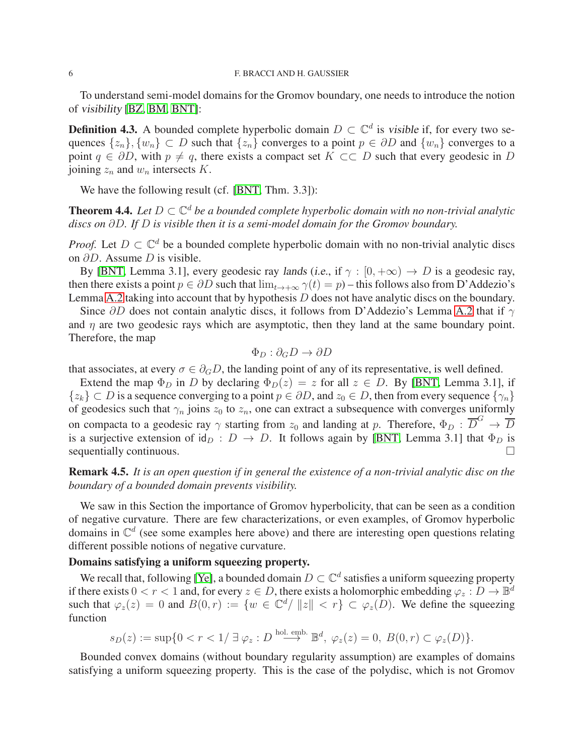To understand semi-model domains for the Gromov boundary, one needs to introduce the notion of visibility [\[BZ,](#page-12-10) [BM,](#page-12-11) [BNT\]](#page-12-15):

**Definition 4.3.** A bounded complete hyperbolic domain  $D \subset \mathbb{C}^d$  is visible if, for every two sequences  $\{z_n\}, \{w_n\} \subset D$  such that  $\{z_n\}$  converges to a point  $p \in \partial D$  and  $\{w_n\}$  converges to a point  $q \in \partial D$ , with  $p \neq q$ , there exists a compact set  $K \subset\subset D$  such that every geodesic in D joining  $z_n$  and  $w_n$  intersects K.

We have the following result (cf. [\[BNT,](#page-12-15) Thm. 3.3]):

**Theorem 4.4.** Let  $D \subset \mathbb{C}^d$  be a bounded complete hyperbolic domain with no non-trivial analytic *discs on* ∂D*. If* D *is visible then it is a semi-model domain for the Gromov boundary.*

*Proof.* Let  $D \subset \mathbb{C}^d$  be a bounded complete hyperbolic domain with no non-trivial analytic discs on ∂D. Assume D is visible.

By [\[BNT,](#page-12-15) Lemma 3.1], every geodesic ray lands (i.e., if  $\gamma : [0, +\infty) \to D$  is a geodesic ray, then there exists a point  $p \in \partial D$  such that  $\lim_{t \to +\infty} \gamma(t) = p$  – this follows also from D'Addezio's Lemma [A.2](#page-10-1) taking into account that by hypothesis  $D$  does not have analytic discs on the boundary.

Since  $\partial D$  does not contain analytic discs, it follows from D'Addezio's Lemma [A.2](#page-10-1) that if  $\gamma$ and  $\eta$  are two geodesic rays which are asymptotic, then they land at the same boundary point. Therefore, the map

$$
\Phi_D : \partial_G D \to \partial D
$$

that associates, at every  $\sigma \in \partial_G D$ , the landing point of any of its representative, is well defined.

Extend the map  $\Phi_D$  in D by declaring  $\Phi_D(z) = z$  for all  $z \in D$ . By [\[BNT,](#page-12-15) Lemma 3.1], if  $\{z_k\} \subset D$  is a sequence converging to a point  $p \in \partial D$ , and  $z_0 \in D$ , then from every sequence  $\{\gamma_n\}$ of geodesics such that  $\gamma_n$  joins  $z_0$  to  $z_n$ , one can extract a subsequence with converges uniformly on compacta to a geodesic ray  $\gamma$  starting from  $z_0$  and landing at p. Therefore,  $\Phi_D : \overline{D}^G \to \overline{D}$ is a surjective extension of  $\mathrm{id}_D : D \to D$ . It follows again by [\[BNT,](#page-12-15) Lemma 3.1] that  $\Phi_D$  is sequentially continuous.

Remark 4.5. *It is an open question if in general the existence of a non-trivial analytic disc on the boundary of a bounded domain prevents visibility.*

We saw in this Section the importance of Gromov hyperbolicity, that can be seen as a condition of negative curvature. There are few characterizations, or even examples, of Gromov hyperbolic domains in  $\mathbb{C}^d$  (see some examples here above) and there are interesting open questions relating different possible notions of negative curvature.

# Domains satisfying a uniform squeezing property.

We recall that, following [\[Ye\]](#page-13-5), a bounded domain  $D \subset \mathbb{C}^d$  satisfies a uniform squeezing property if there exists  $0 < r < 1$  and, for every  $z \in D$ , there exists a holomorphic embedding  $\varphi_z : D \to \mathbb{B}^d$ such that  $\varphi_z(z) = 0$  and  $B(0,r) := \{w \in \mathbb{C}^d / ||z|| < r\} \subset \varphi_z(D)$ . We define the squeezing function

$$
s_D(z) := \sup\{0 < r < 1/\ \exists \ \varphi_z : D \stackrel{\text{hol. emb.}}{\longrightarrow} \mathbb{B}^d, \ \varphi_z(z) = 0, \ B(0, r) \subset \varphi_z(D)\}.
$$

Bounded convex domains (without boundary regularity assumption) are examples of domains satisfying a uniform squeezing property. This is the case of the polydisc, which is not Gromov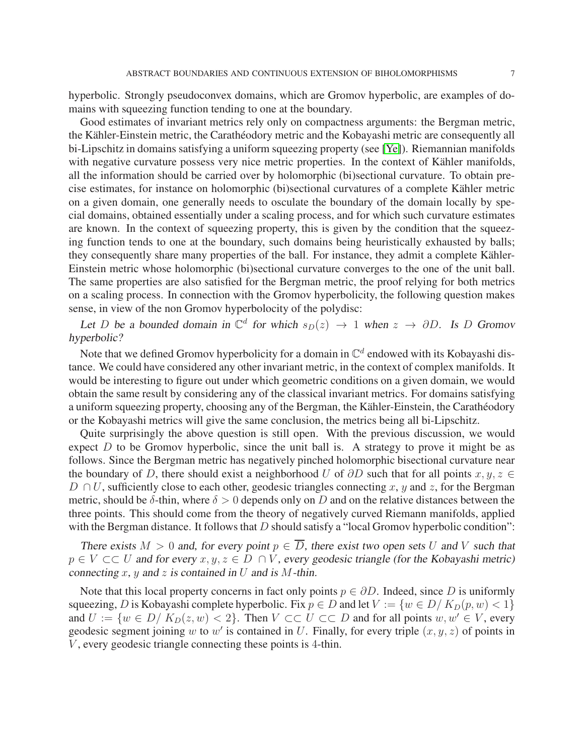hyperbolic. Strongly pseudoconvex domains, which are Gromov hyperbolic, are examples of domains with squeezing function tending to one at the boundary.

Good estimates of invariant metrics rely only on compactness arguments: the Bergman metric, the Kähler-Einstein metric, the Carathéodory metric and the Kobayashi metric are consequently all bi-Lipschitz in domains satisfying a uniform squeezing property (see [\[Ye\]](#page-13-5)). Riemannian manifolds with negative curvature possess very nice metric properties. In the context of Kähler manifolds, all the information should be carried over by holomorphic (bi)sectional curvature. To obtain precise estimates, for instance on holomorphic (bi)sectional curvatures of a complete Kähler metric on a given domain, one generally needs to osculate the boundary of the domain locally by special domains, obtained essentially under a scaling process, and for which such curvature estimates are known. In the context of squeezing property, this is given by the condition that the squeezing function tends to one at the boundary, such domains being heuristically exhausted by balls; they consequently share many properties of the ball. For instance, they admit a complete Kähler-Einstein metric whose holomorphic (bi)sectional curvature converges to the one of the unit ball. The same properties are also satisfied for the Bergman metric, the proof relying for both metrics on a scaling process. In connection with the Gromov hyperbolicity, the following question makes sense, in view of the non Gromov hyperbolocity of the polydisc:

Let D be a bounded domain in  $\mathbb{C}^d$  for which  $s_D(z) \to 1$  when  $z \to \partial D$ . Is D Gromov hyperbolic?

Note that we defined Gromov hyperbolicity for a domain in  $\mathbb{C}^d$  endowed with its Kobayashi distance. We could have considered any other invariant metric, in the context of complex manifolds. It would be interesting to figure out under which geometric conditions on a given domain, we would obtain the same result by considering any of the classical invariant metrics. For domains satisfying a uniform squeezing property, choosing any of the Bergman, the Kähler-Einstein, the Carathéodory or the Kobayashi metrics will give the same conclusion, the metrics being all bi-Lipschitz.

Quite surprisingly the above question is still open. With the previous discussion, we would expect  $D$  to be Gromov hyperbolic, since the unit ball is. A strategy to prove it might be as follows. Since the Bergman metric has negatively pinched holomorphic bisectional curvature near the boundary of D, there should exist a neighborhood U of  $\partial D$  such that for all points  $x, y, z \in$  $D \cap U$ , sufficiently close to each other, geodesic triangles connecting x, y and z, for the Bergman metric, should be  $\delta$ -thin, where  $\delta > 0$  depends only on D and on the relative distances between the three points. This should come from the theory of negatively curved Riemann manifolds, applied with the Bergman distance. It follows that  $D$  should satisfy a "local Gromov hyperbolic condition":

There exists  $M > 0$  and, for every point  $p \in \overline{D}$ , there exist two open sets U and V such that  $p \in V \subset\subset U$  and for every  $x, y, z \in D \cap V$ , every geodesic triangle (for the Kobayashi metric) connecting x, y and z is contained in U and is M-thin.

Note that this local property concerns in fact only points  $p \in \partial D$ . Indeed, since D is uniformly squeezing, D is Kobayashi complete hyperbolic. Fix  $p \in D$  and let  $V := \{w \in D / K_D(p, w) < 1\}$ and  $U := \{w \in D / K_D(z, w) < 2\}$ . Then  $V \subset\subset U \subset\subset D$  and for all points  $w, w' \in V$ , every geodesic segment joining w to w' is contained in U. Finally, for every triple  $(x, y, z)$  of points in  $V$ , every geodesic triangle connecting these points is 4-thin.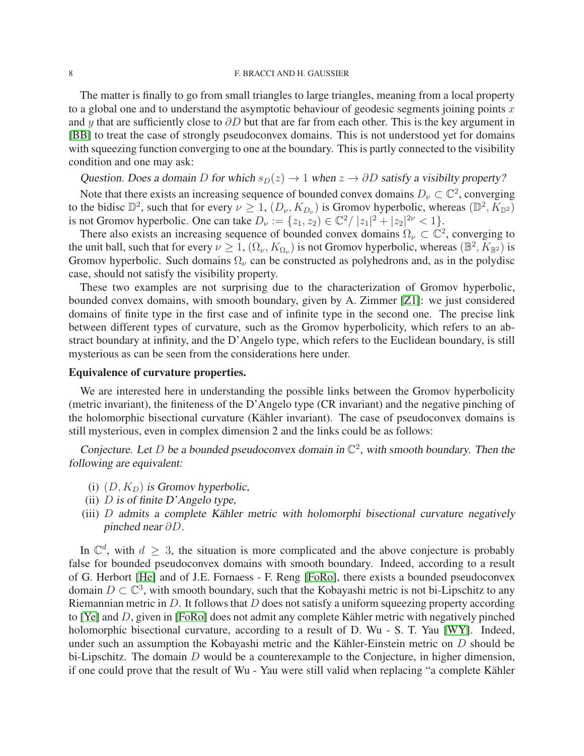The matter is finally to go from small triangles to large triangles, meaning from a local property to a global one and to understand the asymptotic behaviour of geodesic segments joining points  $x$ and y that are sufficiently close to  $\partial D$  but that are far from each other. This is the key argument in [\[BB\]](#page-11-3) to treat the case of strongly pseudoconvex domains. This is not understood yet for domains with squeezing function converging to one at the boundary. This is partly connected to the visibility condition and one may ask:

Question. Does a domain D for which  $s_D(z) \to 1$  when  $z \to \partial D$  satisfy a visibilty property?

Note that there exists an increasing sequence of bounded convex domains  $D_{\nu} \subset \mathbb{C}^2$ , converging to the bidisc  $\mathbb{D}^2$ , such that for every  $\nu \geq 1$ ,  $(D_{\nu}, K_{D_{\nu}})$  is Gromov hyperbolic, whereas  $(\mathbb{D}^2, K_{\mathbb{D}^2})$ is not Gromov hyperbolic. One can take  $D_{\nu} := \{z_1, z_2 \} \in \mathbb{C}^2 / |z_1|^2 + |z_2|^{2\nu} < 1\}.$ 

There also exists an increasing sequence of bounded convex domains  $\Omega_{\nu} \subset \mathbb{C}^2$ , converging to the unit ball, such that for every  $\nu \geq 1$ ,  $(\Omega_{\nu}, K_{\Omega_{\nu}})$  is not Gromov hyperbolic, whereas  $(\mathbb{B}^2, K_{\mathbb{B}^2})$  is Gromov hyperbolic. Such domains  $\Omega_{\nu}$  can be constructed as polyhedrons and, as in the polydisc case, should not satisfy the visibility property.

These two examples are not surprising due to the characterization of Gromov hyperbolic, bounded convex domains, with smooth boundary, given by A. Zimmer [\[Z1\]](#page-13-2): we just considered domains of finite type in the first case and of infinite type in the second one. The precise link between different types of curvature, such as the Gromov hyperbolicity, which refers to an abstract boundary at infinity, and the D'Angelo type, which refers to the Euclidean boundary, is still mysterious as can be seen from the considerations here under.

## Equivalence of curvature properties.

We are interested here in understanding the possible links between the Gromov hyperbolicity (metric invariant), the finiteness of the D'Angelo type (CR invariant) and the negative pinching of the holomorphic bisectional curvature (Kähler invariant). The case of pseudoconvex domains is still mysterious, even in complex dimension 2 and the links could be as follows:

Conjecture. Let D be a bounded pseudoconvex domain in  $\mathbb{C}^2$ , with smooth boundary. Then the following are equivalent:

- (i)  $(D, K_D)$  is Gromov hyperbolic,
- (ii)  $D$  is of finite  $D$ 'Angelo type,
- (iii)  $D$  admits a complete Kähler metric with holomorphi bisectional curvature negatively pinched near ∂D.

In  $\mathbb{C}^d$ , with  $d \geq 3$ , the situation is more complicated and the above conjecture is probably false for bounded pseudoconvex domains with smooth boundary. Indeed, according to a result of G. Herbort [\[He\]](#page-12-20) and of J.E. Fornaess - F. Reng [\[FoRo\]](#page-12-21), there exists a bounded pseudoconvex domain  $D \subset \mathbb{C}^3$ , with smooth boundary, such that the Kobayashi metric is not bi-Lipschitz to any Riemannian metric in  $D$ . It follows that  $D$  does not satisfy a uniform squeezing property according to [\[Ye\]](#page-13-5) and  $D$ , given in [\[FoRo\]](#page-12-21) does not admit any complete Kähler metric with negatively pinched holomorphic bisectional curvature, according to a result of D. Wu - S. T. Yau [\[WY\]](#page-13-6). Indeed, under such an assumption the Kobayashi metric and the Kähler-Einstein metric on  $D$  should be bi-Lipschitz. The domain  $D$  would be a counterexample to the Conjecture, in higher dimension, if one could prove that the result of Wu - Yau were still valid when replacing "a complete Kähler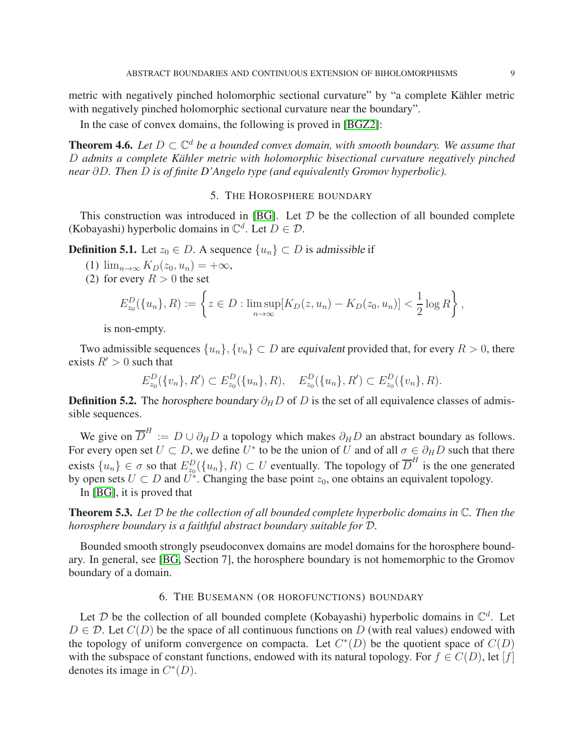metric with negatively pinched holomorphic sectional curvature" by "a complete Kähler metric with negatively pinched holomorphic sectional curvature near the boundary".

In the case of convex domains, the following is proved in [\[BGZ2\]](#page-12-22):

**Theorem 4.6.** Let  $D \subset \mathbb{C}^d$  be a bounded convex domain, with smooth boundary. We assume that D *admits a complete Kähler metric with holomorphic bisectional curvature negatively pinched near* ∂D*. Then* D *is of finite D'Angelo type (and equivalently Gromov hyperbolic).*

# 5. THE HOROSPHERE BOUNDARY

<span id="page-8-0"></span>This construction was introduced in [\[BG\]](#page-12-12). Let  $D$  be the collection of all bounded complete (Kobayashi) hyperbolic domains in  $\mathbb{C}^d$ . Let  $D \in \mathcal{D}$ .

**Definition 5.1.** Let  $z_0 \in D$ . A sequence  $\{u_n\} \subset D$  is admissible if

- (1)  $\lim_{n\to\infty} K_D(z_0, u_n) = +\infty$ ,
- (2) for every  $R > 0$  the set

$$
E_{z_0}^D(\{u_n\}, R) := \left\{ z \in D : \limsup_{n \to \infty} [K_D(z, u_n) - K_D(z_0, u_n)] < \frac{1}{2} \log R \right\},\,
$$

is non-empty.

Two admissible sequences  $\{u_n\}, \{v_n\} \subset D$  are equivalent provided that, for every  $R > 0$ , there exists  $R' > 0$  such that

 $E_{z_0}^D(\lbrace v_n \rbrace, R') \subset E_{z_0}^D(\lbrace u_n \rbrace, R), \quad E_{z_0}^D(\lbrace u_n \rbrace, R') \subset E_{z_0}^D(\lbrace v_n \rbrace, R).$ 

**Definition 5.2.** The horosphere boundary  $\partial_H D$  of D is the set of all equivalence classes of admissible sequences.

We give on  $\overline{D}^H := D \cup \partial_H D$  a topology which makes  $\partial_H D$  an abstract boundary as follows. For every open set  $U \subset D$ , we define  $U^*$  to be the union of U and of all  $\sigma \in \partial_H D$  such that there exists  $\{u_n\} \in \sigma$  so that  $E_{z_0}^D(\{u_n\}, R) \subset U$  eventually. The topology of  $\overline{D}^H$  is the one generated by open sets  $U \subset D$  and  $U^*$ . Changing the base point  $z_0$ , one obtains an equivalent topology.

In [\[BG\]](#page-12-12), it is proved that

Theorem 5.3. *Let* D *be the collection of all bounded complete hyperbolic domains in* C*. Then the horosphere boundary is a faithful abstract boundary suitable for* D*.*

Bounded smooth strongly pseudoconvex domains are model domains for the horosphere boundary. In general, see [\[BG,](#page-12-12) Section 7], the horosphere boundary is not homemorphic to the Gromov boundary of a domain.

## 6. THE BUSEMANN (OR HOROFUNCTIONS) BOUNDARY

<span id="page-8-1"></span>Let  $D$  be the collection of all bounded complete (Kobayashi) hyperbolic domains in  $\mathbb{C}^d$ . Let  $D \in \mathcal{D}$ . Let  $C(D)$  be the space of all continuous functions on D (with real values) endowed with the topology of uniform convergence on compacta. Let  $C^*(D)$  be the quotient space of  $C(D)$ with the subspace of constant functions, endowed with its natural topology. For  $f \in C(D)$ , let [f] denotes its image in  $C^*(D)$ .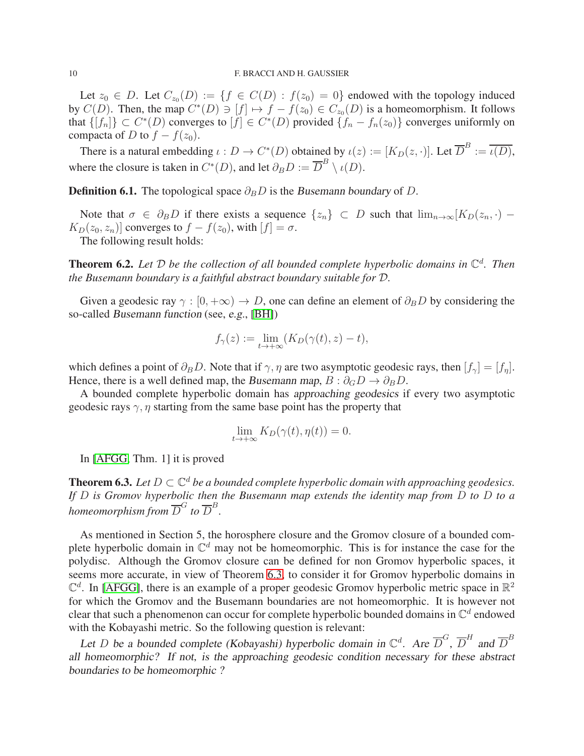Let  $z_0 \in D$ . Let  $C_{z_0}(D) := \{f \in C(D) : f(z_0) = 0\}$  endowed with the topology induced by  $C(D)$ . Then, the map  $C^*(D) \ni [f] \mapsto f - f(z_0) \in C_{z_0}(D)$  is a homeomorphism. It follows that  $\{[f_n]\} \subset C^*(D)$  converges to  $[f] \in C^*(D)$  provided  $\{f_n - f_n(z_0)\}$  converges uniformly on compacta of D to  $f - f(z_0)$ .

There is a natural embedding  $\iota: D \to C^*(D)$  obtained by  $\iota(z) := [K_D(z, \cdot)].$  Let  $\overline{D}^B := \overline{\iota(D)}$ , where the closure is taken in  $C^*(D)$ , and let  $\partial_B D := \overline{D}^B \setminus \iota(D)$ .

**Definition 6.1.** The topological space  $\partial_B D$  is the Busemann boundary of D.

Note that  $\sigma \in \partial_B D$  if there exists a sequence  $\{z_n\} \subset D$  such that  $\lim_{n\to\infty} [K_D(z_n, \cdot) K_D(z_0, z_n)$ ] converges to  $f - f(z_0)$ , with  $[f] = \sigma$ .

The following result holds:

Theorem 6.2. *Let* D *be the collection of all bounded complete hyperbolic domains in* C d *. Then the Busemann boundary is a faithful abstract boundary suitable for* D*.*

Given a geodesic ray  $\gamma : [0, +\infty) \to D$ , one can define an element of  $\partial_B D$  by considering the so-called Busemann function (see, e.g., [\[BH\]](#page-12-17))

$$
f_{\gamma}(z) := \lim_{t \to +\infty} (K_D(\gamma(t), z) - t),
$$

which defines a point of  $\partial_B D$ . Note that if  $\gamma$ ,  $\eta$  are two asymptotic geodesic rays, then  $[f_{\gamma}] = [f_{\eta}]$ . Hence, there is a well defined map, the Busemann map,  $B : \partial_G D \to \partial_B D$ .

A bounded complete hyperbolic domain has approaching geodesics if every two asymptotic geodesic rays  $\gamma$ ,  $\eta$  starting from the same base point has the property that

$$
\lim_{t \to +\infty} K_D(\gamma(t), \eta(t)) = 0.
$$

In [\[AFGG,](#page-11-4) Thm. 1] it is proved

<span id="page-9-0"></span>**Theorem 6.3.** Let  $D \subset \mathbb{C}^d$  be a bounded complete hyperbolic domain with approaching geodesics. *If* D *is Gromov hyperbolic then the Busemann map extends the identity map from* D *to* D *to a* homeomorphism from  $\overline{D}^G$  to  $\overline{D}^B.$ 

As mentioned in Section 5, the horosphere closure and the Gromov closure of a bounded complete hyperbolic domain in  $\mathbb{C}^d$  may not be homeomorphic. This is for instance the case for the polydisc. Although the Gromov closure can be defined for non Gromov hyperbolic spaces, it seems more accurate, in view of Theorem [6.3,](#page-9-0) to consider it for Gromov hyperbolic domains in  $\mathbb{C}^d$ . In [\[AFGG\]](#page-11-4), there is an example of a proper geodesic Gromov hyperbolic metric space in  $\mathbb{R}^2$ for which the Gromov and the Busemann boundaries are not homeomorphic. It is however not clear that such a phenomenon can occur for complete hyperbolic bounded domains in  $\mathbb{C}^d$  endowed with the Kobayashi metric. So the following question is relevant:

Let D be a bounded complete (Kobayashi) hyperbolic domain in  $\mathbb{C}^d$ . Are  $\overline{D}^G$ ,  $\overline{D}^H$  and  $\overline{D}^B$ all homeomorphic? If not, is the approaching geodesic condition necessary for these abstract boundaries to be homeomorphic ?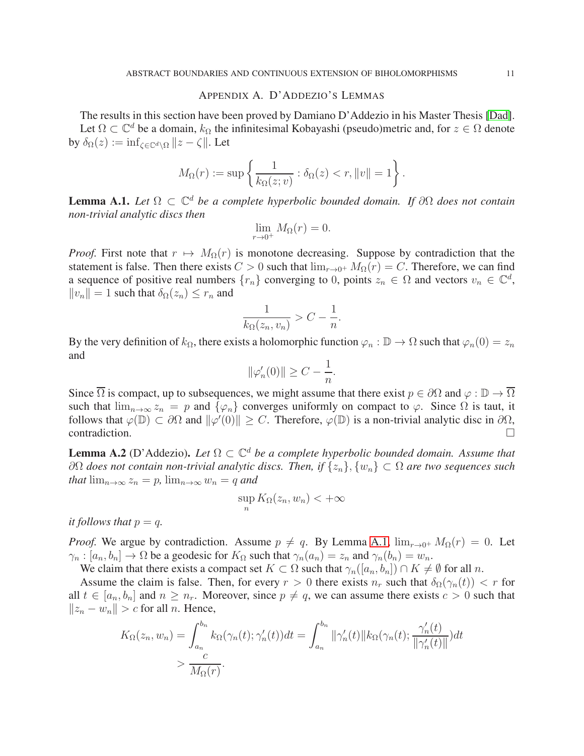## APPENDIX A. D'ADDEZIO'S LEMMAS

<span id="page-10-0"></span>The results in this section have been proved by Damiano D'Addezio in his Master Thesis [\[Dad\]](#page-12-23). Let  $\Omega \subset \mathbb{C}^d$  be a domain,  $k_{\Omega}$  the infinitesimal Kobayashi (pseudo)metric and, for  $z \in \Omega$  denote by  $\delta_{\Omega}(z) := \inf_{\zeta \in \mathbb{C}^d \setminus \Omega} ||z - \zeta||$ . Let

$$
M_{\Omega}(r) := \sup \left\{ \frac{1}{k_{\Omega}(z; v)} : \delta_{\Omega}(z) < r, \|v\| = 1 \right\}.
$$

<span id="page-10-2"></span>Lemma A.1. *Let* Ω ⊂ C <sup>d</sup> *be a complete hyperbolic bounded domain. If* ∂Ω *does not contain non-trivial analytic discs then*

$$
\lim_{r \to 0^+} M_{\Omega}(r) = 0.
$$

*Proof.* First note that  $r \mapsto M_{\Omega}(r)$  is monotone decreasing. Suppose by contradiction that the statement is false. Then there exists  $C > 0$  such that  $\lim_{r \to 0^+} M_{\Omega}(r) = C$ . Therefore, we can find a sequence of positive real numbers  $\{r_n\}$  converging to 0, points  $z_n \in \Omega$  and vectors  $v_n \in \mathbb{C}^d$ ,  $||v_n|| = 1$  such that  $\delta_{\Omega}(z_n) \leq r_n$  and

$$
\frac{1}{k_{\Omega}(z_n, v_n)} > C - \frac{1}{n}.
$$

By the very definition of  $k_{\Omega}$ , there exists a holomorphic function  $\varphi_n : \mathbb{D} \to \Omega$  such that  $\varphi_n(0) = z_n$ and

$$
\|\varphi'_n(0)\| \ge C - \frac{1}{n}.
$$

Since  $\overline{\Omega}$  is compact, up to subsequences, we might assume that there exist  $p \in \partial\Omega$  and  $\varphi : \mathbb{D} \to \overline{\Omega}$ such that  $\lim_{n\to\infty} z_n = p$  and  $\{\varphi_n\}$  converges uniformly on compact to  $\varphi$ . Since  $\Omega$  is taut, it follows that  $\varphi(\mathbb{D}) \subset \partial\Omega$  and  $\|\varphi'(0)\| \geq C$ . Therefore,  $\varphi(\mathbb{D})$  is a non-trivial analytic disc in  $\partial\Omega$ ,  $contradiction.$ 

<span id="page-10-1"></span>**Lemma A.2** (D'Addezio). Let  $\Omega \subset \mathbb{C}^d$  *be a complete hyperbolic bounded domain. Assume that* ∂Ω *does not contain non-trivial analytic discs. Then, if* {zn}, {wn} ⊂ Ω *are two sequences such that*  $\lim_{n\to\infty} z_n = p$ ,  $\lim_{n\to\infty} w_n = q$  *and* 

$$
\sup_n K_{\Omega}(z_n, w_n) < +\infty
$$

*it follows that*  $p = q$ .

*Proof.* We argue by contradiction. Assume  $p \neq q$ . By Lemma [A.1,](#page-10-2)  $\lim_{r \to 0^+} M_{\Omega}(r) = 0$ . Let  $\gamma_n : [a_n, b_n] \to \Omega$  be a geodesic for  $K_{\Omega}$  such that  $\gamma_n(a_n) = z_n$  and  $\gamma_n(b_n) = w_n$ .

We claim that there exists a compact set  $K \subset \Omega$  such that  $\gamma_n([a_n, b_n]) \cap K \neq \emptyset$  for all n.

Assume the claim is false. Then, for every  $r > 0$  there exists  $n_r$  such that  $\delta_{\Omega}(\gamma_n(t)) < r$  for all  $t \in [a_n, b_n]$  and  $n \geq n_r$ . Moreover, since  $p \neq q$ , we can assume there exists  $c > 0$  such that  $||z_n - w_n|| > c$  for all *n*. Hence,

$$
K_{\Omega}(z_n, w_n) = \int_{a_n}^{b_n} k_{\Omega}(\gamma_n(t); \gamma_n'(t)) dt = \int_{a_n}^{b_n} ||\gamma_n'(t)|| k_{\Omega}(\gamma_n(t); \frac{\gamma_n'(t)}{||\gamma_n'(t)||}) dt
$$
  
> 
$$
\frac{c}{M_{\Omega}(r)}.
$$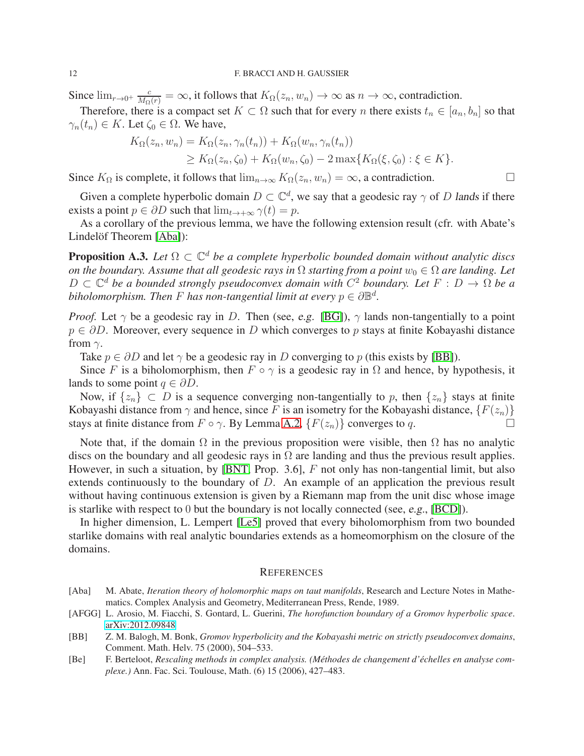Since  $\lim_{r\to 0^+} \frac{c}{M_{\Omega}(r)} = \infty$ , it follows that  $K_{\Omega}(z_n, w_n) \to \infty$  as  $n \to \infty$ , contradiction.

Therefore, there is a compact set  $K \subset \Omega$  such that for every n there exists  $t_n \in [a_n, b_n]$  so that  $\gamma_n(t_n) \in K$ . Let  $\zeta_0 \in \Omega$ . We have,

$$
K_{\Omega}(z_n, w_n) = K_{\Omega}(z_n, \gamma_n(t_n)) + K_{\Omega}(w_n, \gamma_n(t_n))
$$
  
\n
$$
\geq K_{\Omega}(z_n, \zeta_0) + K_{\Omega}(w_n, \zeta_0) - 2 \max\{K_{\Omega}(\xi, \zeta_0) : \xi \in K\}.
$$

Since  $K_{\Omega}$  is complete, it follows that  $\lim_{n\to\infty} K_{\Omega}(z_n, w_n) = \infty$ , a contradiction.

Given a complete hyperbolic domain  $D \subset \mathbb{C}^d$ , we say that a geodesic ray  $\gamma$  of D lands if there exists a point  $p \in \partial D$  such that  $\lim_{t \to +\infty} \gamma(t) = p$ .

As a corollary of the previous lemma, we have the following extension result (cfr. with Abate's Lindelöf Theorem [\[Aba\]](#page-11-2)):

**Proposition A.3.** *Let*  $Ω ⊂ ℂ<sup>d</sup>$  *be a complete hyperbolic bounded domain without analytic discs on the boundary. Assume that all geodesic rays in*  $\Omega$  *starting from a point*  $w_0 \in \Omega$  *are landing. Let*  $D \subset \mathbb{C}^d$  *be a bounded strongly pseudoconvex domain with*  $C^2$  *boundary. Let*  $F : D \to \Omega$  *be a biholomorphism. Then*  $F$  *has non-tangential limit at every*  $p \in \partial \mathbb{B}^d$ .

*Proof.* Let  $\gamma$  be a geodesic ray in D. Then (see, e.g. [\[BG\]](#page-12-12)),  $\gamma$  lands non-tangentially to a point  $p \in \partial D$ . Moreover, every sequence in D which converges to p stays at finite Kobayashi distance from  $\gamma$ .

Take  $p \in \partial D$  and let  $\gamma$  be a geodesic ray in D converging to p (this exists by [\[BB\]](#page-11-3)).

Since F is a biholomorphism, then  $F \circ \gamma$  is a geodesic ray in  $\Omega$  and hence, by hypothesis, it lands to some point  $q \in \partial D$ .

Now, if  $\{z_n\} \subset D$  is a sequence converging non-tangentially to p, then  $\{z_n\}$  stays at finite Kobayashi distance from  $\gamma$  and hence, since F is an isometry for the Kobayashi distance,  $\{F(z_n)\}$ stays at finite distance from  $F \circ \gamma$ . By Lemma [A.2,](#page-10-1)  $\{F(z_n)\}$  converges to q.

Note that, if the domain  $\Omega$  in the previous proposition were visible, then  $\Omega$  has no analytic discs on the boundary and all geodesic rays in  $\Omega$  are landing and thus the previous result applies. However, in such a situation, by [\[BNT,](#page-12-15) Prop. 3.6],  $F$  not only has non-tangential limit, but also extends continuously to the boundary of D. An example of an application the previous result without having continuous extension is given by a Riemann map from the unit disc whose image is starlike with respect to 0 but the boundary is not locally connected (see, e.g., [\[BCD\]](#page-12-3)).

In higher dimension, L. Lempert [\[Le5\]](#page-12-24) proved that every biholomorphism from two bounded starlike domains with real analytic boundaries extends as a homeomorphism on the closure of the domains.

## <span id="page-11-0"></span>**REFERENCES**

- <span id="page-11-2"></span>[Aba] M. Abate, *Iteration theory of holomorphic maps on taut manifolds*, Research and Lecture Notes in Mathematics. Complex Analysis and Geometry, Mediterranean Press, Rende, 1989.
- <span id="page-11-4"></span>[AFGG] L. Arosio, M. Fiacchi, S. Gontard, L. Guerini, *The horofunction boundary of a Gromov hyperbolic space*. [arXiv:2012.09848](http://arxiv.org/abs/2012.09848)
- <span id="page-11-3"></span>[BB] Z. M. Balogh, M. Bonk, *Gromov hyperbolicity and the Kobayashi metric on strictly pseudoconvex domains*, Comment. Math. Helv. 75 (2000), 504–533.
- <span id="page-11-1"></span>[Be] F. Berteloot, *Rescaling methods in complex analysis. (Methodes de changement d' ´ echelles en analyse com- ´ plexe.)* Ann. Fac. Sci. Toulouse, Math. (6) 15 (2006), 427–483.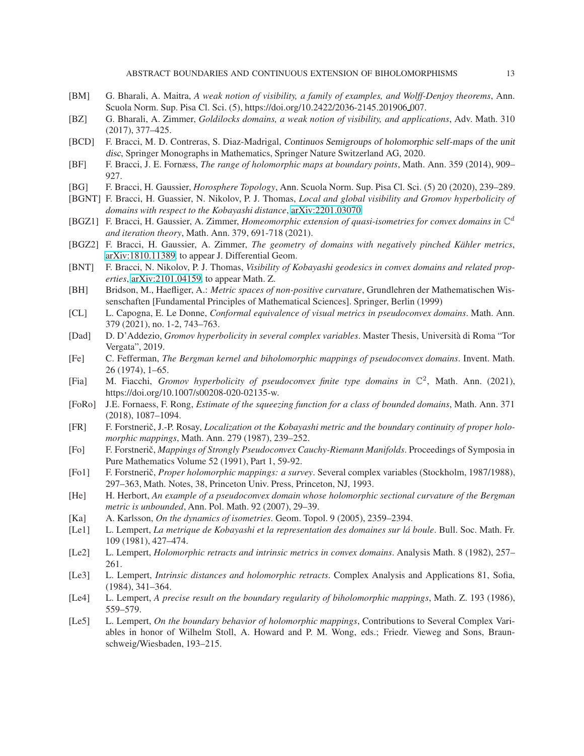- <span id="page-12-11"></span>[BM] G. Bharali, A. Maitra, *A weak notion of visibility, a family of examples, and Wolff-Denjoy theorems*, Ann. Scuola Norm. Sup. Pisa Cl. Sci. (5), https://doi.org/10.2422/2036-2145.201906 007.
- <span id="page-12-10"></span>[BZ] G. Bharali, A. Zimmer, *Goldilocks domains, a weak notion of visibility, and applications*, Adv. Math. 310 (2017), 377–425.
- <span id="page-12-3"></span>[BCD] F. Bracci, M. D. Contreras, S. Diaz-Madrigal, Continuos Semigroups of holomorphic self-maps of the unit disc, Springer Monographs in Mathematics, Springer Nature Switzerland AG, 2020.
- <span id="page-12-4"></span>[BF] F. Bracci, J. E. Fornæss, *The range of holomorphic maps at boundary points*, Math. Ann. 359 (2014), 909– 927.
- <span id="page-12-12"></span>[BG] F. Bracci, H. Gaussier, *Horosphere Topology*, Ann. Scuola Norm. Sup. Pisa Cl. Sci. (5) 20 (2020), 239–289.
- <span id="page-12-19"></span>[BGNT] F. Bracci, H. Guassier, N. Nikolov, P. J. Thomas, *Local and global visibility and Gromov hyperbolicity of domains with respect to the Kobayashi distance*, [arXiv:2201.03070](http://arxiv.org/abs/2201.03070)
- <span id="page-12-13"></span>[BGZ1] F. Bracci, H. Gaussier, A. Zimmer, *Homeomorphic extension of quasi-isometries for convex domains in*  $\mathbb{C}^d$ *and iteration theory*, Math. Ann. 379, 691-718 (2021).
- <span id="page-12-22"></span>[BGZ2] F. Bracci, H. Gaussier, A. Zimmer, *The geometry of domains with negatively pinched Kähler metrics*, [arXiv:1810.11389,](http://arxiv.org/abs/1810.11389) to appear J. Differential Geom.
- <span id="page-12-15"></span>[BNT] F. Bracci, N. Nikolov, P. J. Thomas, *Visibility of Kobayashi geodesics in convex domains and related properties*, [arXiv:2101.04159,](http://arxiv.org/abs/2101.04159) to appear Math. Z.
- <span id="page-12-17"></span>[BH] Bridson, M., Haefliger, A.: *Metric spaces of non-positive curvature*, Grundlehren der Mathematischen Wissenschaften [Fundamental Principles of Mathematical Sciences]. Springer, Berlin (1999)
- <span id="page-12-14"></span>[CL] L. Capogna, E. Le Donne, *Conformal equivalence of visual metrics in pseudoconvex domains*. Math. Ann. 379 (2021), no. 1-2, 743–763.
- <span id="page-12-23"></span>[Dad] D. D'Addezio, *Gromov hyperbolicity in several complex variables*. Master Thesis, Università di Roma "Tor Vergata", 2019.
- <span id="page-12-2"></span>[Fe] C. Fefferman, *The Bergman kernel and biholomorphic mappings of pseudoconvex domains*. Invent. Math. 26 (1974), 1–65.
- <span id="page-12-18"></span>[Fia] M. Fiacchi, *Gromov hyperbolicity of pseudoconvex finite type domains in*  $\mathbb{C}^2$ , Math. Ann. (2021), https://doi.org/10.1007/s00208-020-02135-w.
- <span id="page-12-21"></span>[FoRo] J.E. Fornaess, F. Rong, *Estimate of the squeezing function for a class of bounded domains*, Math. Ann. 371 (2018), 1087–1094.
- <span id="page-12-5"></span>[FR] F. Forstnerič, J.-P. Rosay, *Localization ot the Kobayashi metric and the boundary continuity of proper holomorphic mappings*, Math. Ann. 279 (1987), 239–252.
- <span id="page-12-0"></span>[Fo] F. Forstneriˇc, *Mappings of Strongly Pseudoconvex Cauchy-Riemann Manifolds*. Proceedings of Symposia in Pure Mathematics Volume 52 (1991), Part 1, 59-92.
- <span id="page-12-1"></span>[Fo1] F. Forstneriˇc, *Proper holomorphic mappings: a survey*. Several complex variables (Stockholm, 1987/1988), 297–363, Math. Notes, 38, Princeton Univ. Press, Princeton, NJ, 1993.
- <span id="page-12-20"></span>[He] H. Herbort, *An example of a pseudoconvex domain whose holomorphic sectional curvature of the Bergman metric is unbounded*, Ann. Pol. Math. 92 (2007), 29–39.
- <span id="page-12-9"></span>[Ka] A. Karlsson, *On the dynamics of isometries*. Geom. Topol. 9 (2005), 2359–2394.
- <span id="page-12-6"></span>[Le1] L. Lempert, *La metrique de Kobayashi et la representation des domaines sur la boule ´* . Bull. Soc. Math. Fr. 109 (1981), 427–474.
- <span id="page-12-7"></span>[Le2] L. Lempert, *Holomorphic retracts and intrinsic metrics in convex domains*. Analysis Math. 8 (1982), 257– 261.
- <span id="page-12-8"></span>[Le3] L. Lempert, *Intrinsic distances and holomorphic retracts*. Complex Analysis and Applications 81, Sofia, (1984), 341–364.
- <span id="page-12-16"></span>[Le4] L. Lempert, *A precise result on the boundary regularity of biholomorphic mappings*, Math. Z. 193 (1986), 559–579.
- <span id="page-12-24"></span>[Le5] L. Lempert, *On the boundary behavior of holomorphic mappings*, Contributions to Several Complex Variables in honor of Wilhelm Stoll, A. Howard and P. M. Wong, eds.; Friedr. Vieweg and Sons, Braunschweig/Wiesbaden, 193–215.